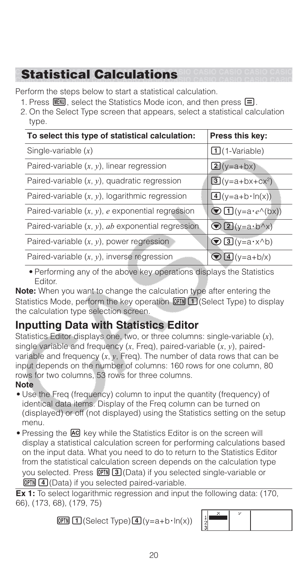# **Statistical Calculations**

Perform the steps below to start a statistical calculation.

- 1. Press  $\mathbb{I}$  is select the Statistics Mode icon, and then press  $\mathbf{F}$ .
- 2. On the Select Type screen that appears, select a statistical calculation type.

| To select this type of statistical calculation:      | Press this key:                  |
|------------------------------------------------------|----------------------------------|
| Single-variable $(x)$                                | $\Box$ (1-Variable)              |
| Paired-variable $(x, y)$ , linear regression         | $2(y=a+bx)$                      |
| Paired-variable $(x, y)$ , quadratic regression      | $3(y=a+bx+cx^2)$                 |
| Paired-variable $(x, y)$ , logarithmic regression    | $\boxed{4}$ (y=a+b·ln(x))        |
| Paired-variable $(x, y)$ , e exponential regression  | $\bigcirc$ $\Box$ (y=a · e^(bx)) |
| Paired-variable $(x, y)$ , ab exponential regression | $\bigcirc$ 2 (y=a $\cdot$ b^x)   |
| Paired-variable $(x, y)$ , power regression          | $\bigcirc$ 3 (y=a $\cdot$ x^b)   |
| Paired-variable $(x, y)$ , inverse regression        | $4(y=a+b/x)$                     |

• Performing any of the above key operations displays the Statistics Editor.

**Note:** When you want to change the calculation type after entering the Statistics Mode, perform the key operation  $[OPIN]$   $[1]$  (Select Type) to display the calculation type selection screen.

## **Inputting Data with Statistics Editor**

Statistics Editor displays one, two, or three columns: single-variable (*x*), single variable and frequency (*x*, Freq), paired-variable (*x*, *y*), pairedvariable and frequency (*x*, *y*, Freq). The number of data rows that can be input depends on the number of columns: 160 rows for one column, 80 rows for two columns, 53 rows for three columns.

#### **Note**

- Use the Freq (frequency) column to input the quantity (frequency) of identical data items. Display of the Freq column can be turned on (displayed) or off (not displayed) using the Statistics setting on the setup menu.
- Pressing the **AC** key while the Statistics Editor is on the screen will display a statistical calculation screen for performing calculations based on the input data. What you need to do to return to the Statistics Editor from the statistical calculation screen depends on the calculation type you selected. Press **OPTN** 3 (Data) if you selected single-variable or  $OPTN$   $(4)$  (Data) if you selected paired-variable.

**Ex 1:** To select logarithmic regression and input the following data: (170, 66), (173, 68), (179, 75)

 $OPTN$   $\boxed{1}$  (Select Type) $\boxed{4}$  (y=a+b·ln(x))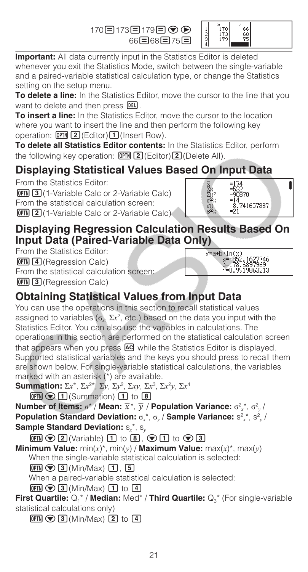170日173日179日⊙⊙ 66日68日75日



**Important:** All data currently input in the Statistics Editor is deleted whenever you exit the Statistics Mode, switch between the single-variable and a paired-variable statistical calculation type, or change the Statistics setting on the setup menu.

**To delete a line:** In the Statistics Editor, move the cursor to the line that you want to delete and then press DEL.

**To insert a line:** In the Statistics Editor, move the cursor to the location where you want to insert the line and then perform the following key operation:  $[OPTN]$  2 (Editor) 1 (Insert Row).

**To delete all Statistics Editor contents:** In the Statistics Editor, perform the following key operation:  $[OPIN]$   $[2]$  (Editor) $[2]$  (Delete All).

# **Displaying Statistical Values Based On Input Data**

From the Statistics Editor: **OPTN** 3 (1-Variable Calc or 2-Variable Calc) From the statistical calculation screen: **OPTN 2** (1-Variable Calc or 2-Variable Calc)



)·ln(x)<br>a=-852.1627746<br>b=178.6897969<br>r=0.9919863213

y=a+b∙ln(

### **Displaying Regression Calculation Results Based On Input Data (Paired-Variable Data Only)**

From the Statistics Editor:  $[OPTN]$   $[4]$  (Regression Calc) From the statistical calculation screen:  $[OPTN]$   $[3]$  (Regression Calc)

## **Obtaining Statistical Values from Input Data**

You can use the operations in this section to recall statistical values assigned to variables ( $\sigma_r$ ,  $\Sigma x^2$ , etc.) based on the data you input with the Statistics Editor. You can also use the variables in calculations. The operations in this section are performed on the statistical calculation screen that appears when you press **AC** while the Statistics Editor is displayed. Supported statistical variables and the keys you should press to recall them are shown below. For single-variable statistical calculations, the variables marked with an asterisk (\*) are available.

**Summation:** Σ*x<sup>\*</sup>*, Σ*x*<sup>2\*</sup>, Σ*y*, Σ*y*<sup>2</sup>, Σ*xy*, Σ*x*<sup>3</sup>, Σ*x*<sup>2</sup>*y*, Σ*x*<sup>4</sup>

 $OPTN$  $\odot$   $\Box$  (Summation)  $\Box$  to  $\Box$ 

**Number of Items:**  $n^*$  / **Mean:**  $\overline{x}^*$ ,  $\overline{y}$  / **Population Variance:**  $\sigma_x^2$ ,  $\sigma_y^2$  / **Population Standard Deviation:**  $\sigma_x^*$ ,  $\sigma_y$  / Sample Variance:  $s^2{}_x^*$ ,  $s^2{}_y$  / **Sample Standard Deviation:**  $S_x^*$ ,  $S_y$ 

 $\boxed{pm}$   $\odot$   $\boxed{2}$  (Variable)  $\boxed{1}$  to  $\boxed{8}$ ,  $\odot$   $\boxed{1}$  to  $\odot$   $\boxed{3}$ 

**Minimum Value:** min(x)\*, min(y) / **Maximum Value:** max(x)\*, max(y) When the single-variable statistical calculation is selected:

 $OPTN$   $\odot$   $\ddot{3}$  (Min/Max)  $\ddot{1}$ ,  $\ddot{5}$ 

When a paired-variable statistical calculation is selected:

 $OPTN$   $\odot$  3 (Min/Max)  $\Box$  to  $\Box$ 

**First Quartile:**  $Q_1^*$  / **Median:** Med<sup>\*</sup> / **Third Quartile:**  $Q_3^*$  (For single-variable statistical calculations only)

 $OPTN$   $\odot$   $\ddot{3}$  (Min/Max)  $\ddot{2}$  to  $\ddot{4}$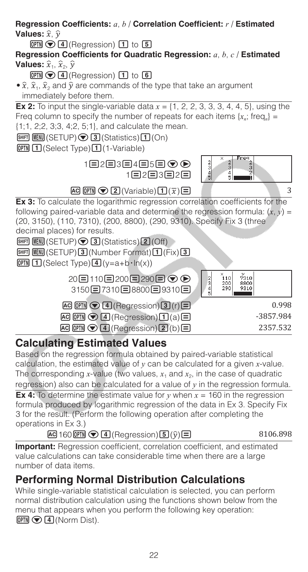**Regression Coefficients:** *a*, *b* / **Correlation Coefficient:** *r* / **Estimated Values:**  $\hat{x}$ .  $\hat{v}$  $OPTN$   $\odot$   $\ddot{4}$  (Regression)  $\ddot{1}$  to  $\ddot{5}$ **Regression Coefficients for Quadratic Regression:** *a*, *b*, *c* / **Estimated Values:**  $\hat{x}_1$ ,  $\hat{x}_2$ ,  $\hat{y}$  $OPTN$   $\odot$   $\ddot{4}$  (Regression)  $\ddot{1}$  to  $\ddot{6}$  $\hat{\mathbf{x}}$ ,  $\hat{\mathbf{x}}_1$ ,  $\hat{\mathbf{x}}_2$  and  $\hat{\mathbf{y}}$  are commands of the type that take an argument immediately before them. **Ex 2:** To input the single-variable data  $x = \{1, 2, 2, 3, 3, 3, 4, 4, 5\}$ , using the Freq column to specify the number of repeats for each items  $\{x_n\}$ ; freq<sub>n</sub> $\}$  = {1;1, 2;2, 3;3, 4;2, 5;1}, and calculate the mean.  $\boxed{\text{MHI}}$   $\boxed{\text{HEW}}$  (SETUP) $\bigcirc$  3 (Statistics) $\boxed{1}$  (On) **[OPTN]** [1] (Select Type) [1] (1-Variable)  $\begin{array}{c}\n\text{Freq} \\
2 \\
3 \\
2 \\
\text{ii}\n\end{array}$  $0 + 00$ 1日2日3日4日5日 ⊙ ▶  $rac{2}{5}$  $1\Xi$ 2 $\Xi$ 3 $\Xi$ 2 $\Xi$  $AC$  (OPTN)  $\bigcirc$  2 (Variable) $\bigcirc$   $\bigcirc$   $\bigcirc$   $\bigcirc$ **Ex 3:** To calculate the logarithmic regression correlation coefficients for the following paired-variable data and determine the regression formula:  $(x, y)$  = (20, 3150), (110, 7310), (200, 8800), (290, 9310). Specify Fix 3 (three decimal places) for results.  $[SHIF]$   $[MEM]$  (SETUP)  $\odot$  3 (Statistics) 2 (Off)  $[SHIF]$   $[MEW]$  (SETUP) $[3]$  (Number Format) $[1]$  (Fix) $[3]$  $OPTN$   $1$  (Select Type) $4$  (y=a+b·ln(x)) 。<br>110 20日110日200日290日⊙⊙ 7310  $\frac{2}{3}$  $\frac{200}{290}$ 8800<br>9310 3150日7310日8800日9310日  $\overline{AC}$  ( $\overline{CPIN}$   $\bigcirc$   $\overline{A}$  (Regression) $\overline{3}$  (r)  $\overline{E}$  (1.998  $\overline{AC}$   $\overline{OPTN}$   $\odot$   $\overline{4}$  (Regression) $\overline{11}$  (a)  $\overline{=}$   $\overline{3857.984}$  $AC$  (OPTN)  $\odot$  (4) (Regression)(2)(b)  $\Box$  2357.532

## **Calculating Estimated Values**

Based on the regression formula obtained by paired-variable statistical calculation, the estimated value of *y* can be calculated for a given *x*-value. The corresponding *x*-value (two values,  $x_1$  and  $x_2$ , in the case of quadratic regression) also can be calculated for a value of  $\nu$  in the regression formula. **Ex 4:** To determine the estimate value for  $y$  when  $x = 160$  in the regression formula produced by logarithmic regression of the data in Ex 3. Specify Fix

3 for the result. (Perform the following operation after completing the operations in Ex 3.)

#### $AC$  160  $OPTN$   $Q$   $I$  (Regression) $J$   $Q$   $\hat{Q}$   $\hat{B}$

**Important:** Regression coefficient, correlation coefficient, and estimated value calculations can take considerable time when there are a large number of data items.

# **Performing Normal Distribution Calculations**

While single-variable statistical calculation is selected, you can perform normal distribution calculation using the functions shown below from the menu that appears when you perform the following key operation:  $OPTN$   $\bigcirc$   $\bigcirc$   $\bigcirc$   $\bigcirc$   $\bigcirc$   $\bigcirc$   $\bigcirc$   $\bigcirc$   $\bigcirc$   $\bigcirc$   $\bigcirc$   $\bigcirc$   $\bigcirc$   $\bigcirc$   $\bigcirc$   $\bigcirc$   $\bigcirc$   $\bigcirc$   $\bigcirc$   $\bigcirc$   $\bigcirc$   $\bigcirc$   $\bigcirc$   $\bigcirc$   $\bigcirc$   $\bigcirc$   $\bigcirc$   $\bigcirc$   $\bigcirc$   $\bigcirc$   $\bigcirc$   $\bigcirc$   $\bigcirc$   $\bigcirc$   $\bigcirc$   $\bigcirc$